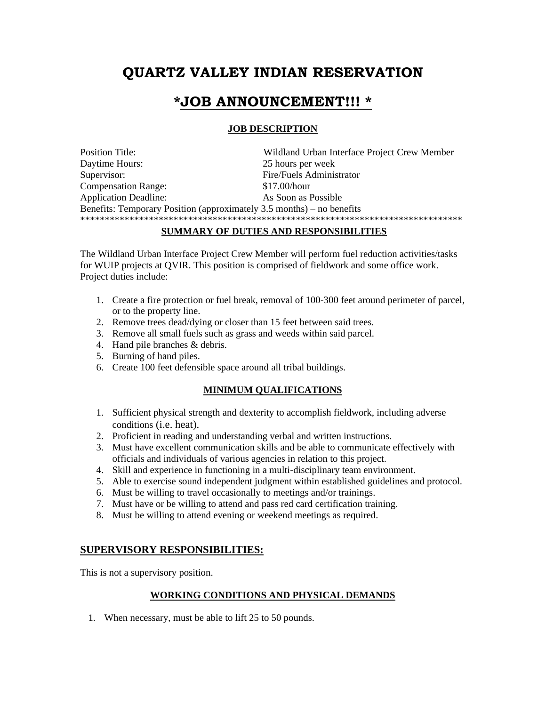# **QUARTZ VALLEY INDIAN RESERVATION**

## **\*JOB ANNOUNCEMENT!!! \***

#### **JOB DESCRIPTION**

Position Title: Wildland Urban Interface Project Crew Member Daytime Hours: 25 hours per week Supervisor: Fire/Fuels Administrator Compensation Range: \$17.00/hour Application Deadline: As Soon as Possible Benefits: Temporary Position (approximately 3.5 months) – no benefits \*\*\*\*\*\*\*\*\*\*\*\*\*\*\*\*\*\*\*\*\*\*\*\*\*\*\*\*\*\*\*\*\*\*\*\*\*\*\*\*\*\*\*\*\*\*\*\*\*\*\*\*\*\*\*\*\*\*\*\*\*\*\*\*\*\*\*\*\*\*\*\*\*\*\*\*\*\*

#### **SUMMARY OF DUTIES AND RESPONSIBILITIES**

The Wildland Urban Interface Project Crew Member will perform fuel reduction activities/tasks for WUIP projects at QVIR. This position is comprised of fieldwork and some office work. Project duties include:

- 1. Create a fire protection or fuel break, removal of 100-300 feet around perimeter of parcel, or to the property line.
- 2. Remove trees dead/dying or closer than 15 feet between said trees.
- 3. Remove all small fuels such as grass and weeds within said parcel.
- 4. Hand pile branches & debris.
- 5. Burning of hand piles.
- 6. Create 100 feet defensible space around all tribal buildings.

#### **MINIMUM QUALIFICATIONS**

- 1. Sufficient physical strength and dexterity to accomplish fieldwork, including adverse conditions (i.e. heat).
- 2. Proficient in reading and understanding verbal and written instructions.
- 3. Must have excellent communication skills and be able to communicate effectively with officials and individuals of various agencies in relation to this project.
- 4. Skill and experience in functioning in a multi-disciplinary team environment.
- 5. Able to exercise sound independent judgment within established guidelines and protocol.
- 6. Must be willing to travel occasionally to meetings and/or trainings.
- 7. Must have or be willing to attend and pass red card certification training.
- 8. Must be willing to attend evening or weekend meetings as required.

### **SUPERVISORY RESPONSIBILITIES:**

This is not a supervisory position.

#### **WORKING CONDITIONS AND PHYSICAL DEMANDS**

1. When necessary, must be able to lift 25 to 50 pounds.